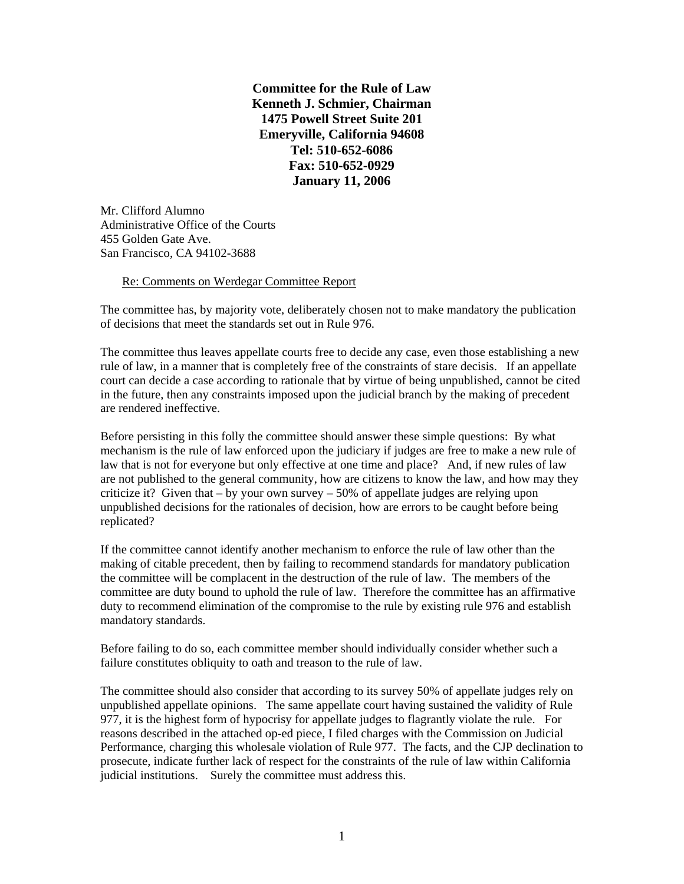**Committee for the Rule of Law Kenneth J. Schmier, Chairman 1475 Powell Street Suite 201 Emeryville, California 94608 Tel: 510-652-6086 Fax: 510-652-0929 January 11, 2006** 

Mr. Clifford Alumno Administrative Office of the Courts 455 Golden Gate Ave. San Francisco, CA 94102-3688

## Re: Comments on Werdegar Committee Report

The committee has, by majority vote, deliberately chosen not to make mandatory the publication of decisions that meet the standards set out in Rule 976.

The committee thus leaves appellate courts free to decide any case, even those establishing a new rule of law, in a manner that is completely free of the constraints of stare decisis. If an appellate court can decide a case according to rationale that by virtue of being unpublished, cannot be cited in the future, then any constraints imposed upon the judicial branch by the making of precedent are rendered ineffective.

Before persisting in this folly the committee should answer these simple questions: By what mechanism is the rule of law enforced upon the judiciary if judges are free to make a new rule of law that is not for everyone but only effective at one time and place? And, if new rules of law are not published to the general community, how are citizens to know the law, and how may they criticize it? Given that – by your own survey – 50% of appellate judges are relying upon unpublished decisions for the rationales of decision, how are errors to be caught before being replicated?

If the committee cannot identify another mechanism to enforce the rule of law other than the making of citable precedent, then by failing to recommend standards for mandatory publication the committee will be complacent in the destruction of the rule of law. The members of the committee are duty bound to uphold the rule of law. Therefore the committee has an affirmative duty to recommend elimination of the compromise to the rule by existing rule 976 and establish mandatory standards.

Before failing to do so, each committee member should individually consider whether such a failure constitutes obliquity to oath and treason to the rule of law.

The committee should also consider that according to its survey 50% of appellate judges rely on unpublished appellate opinions. The same appellate court having sustained the validity of Rule 977, it is the highest form of hypocrisy for appellate judges to flagrantly violate the rule. For reasons described in the attached op-ed piece, I filed charges with the Commission on Judicial Performance, charging this wholesale violation of Rule 977. The facts, and the CJP declination to prosecute, indicate further lack of respect for the constraints of the rule of law within California judicial institutions. Surely the committee must address this.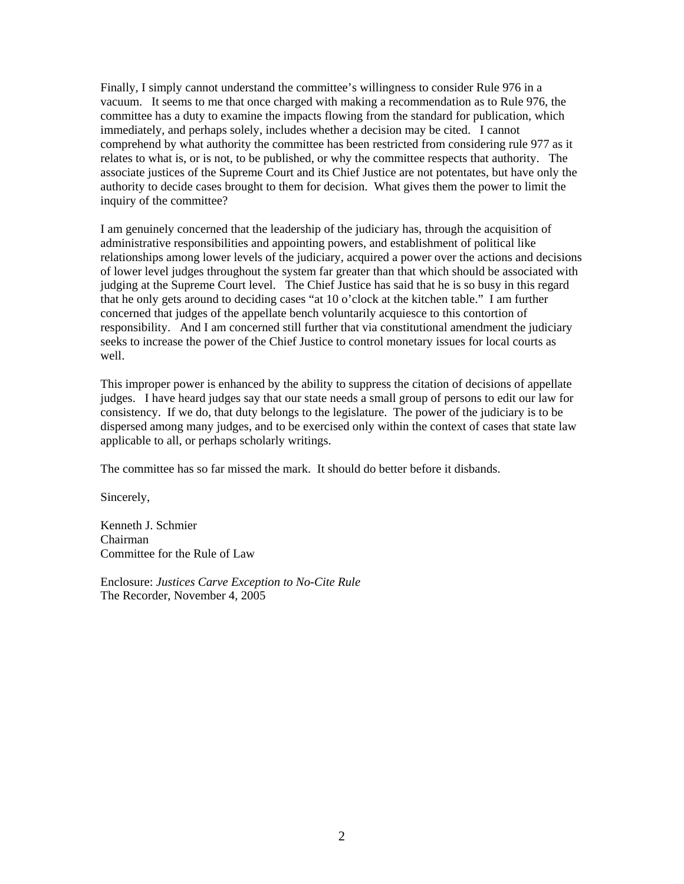Finally, I simply cannot understand the committee's willingness to consider Rule 976 in a vacuum. It seems to me that once charged with making a recommendation as to Rule 976, the committee has a duty to examine the impacts flowing from the standard for publication, which immediately, and perhaps solely, includes whether a decision may be cited. I cannot comprehend by what authority the committee has been restricted from considering rule 977 as it relates to what is, or is not, to be published, or why the committee respects that authority. The associate justices of the Supreme Court and its Chief Justice are not potentates, but have only the authority to decide cases brought to them for decision. What gives them the power to limit the inquiry of the committee?

I am genuinely concerned that the leadership of the judiciary has, through the acquisition of administrative responsibilities and appointing powers, and establishment of political like relationships among lower levels of the judiciary, acquired a power over the actions and decisions of lower level judges throughout the system far greater than that which should be associated with judging at the Supreme Court level. The Chief Justice has said that he is so busy in this regard that he only gets around to deciding cases "at 10 o'clock at the kitchen table." I am further concerned that judges of the appellate bench voluntarily acquiesce to this contortion of responsibility. And I am concerned still further that via constitutional amendment the judiciary seeks to increase the power of the Chief Justice to control monetary issues for local courts as well.

This improper power is enhanced by the ability to suppress the citation of decisions of appellate judges. I have heard judges say that our state needs a small group of persons to edit our law for consistency. If we do, that duty belongs to the legislature. The power of the judiciary is to be dispersed among many judges, and to be exercised only within the context of cases that state law applicable to all, or perhaps scholarly writings.

The committee has so far missed the mark. It should do better before it disbands.

Sincerely,

Kenneth J. Schmier Chairman Committee for the Rule of Law

Enclosure: *Justices Carve Exception to No-Cite Rule* The Recorder, November 4, 2005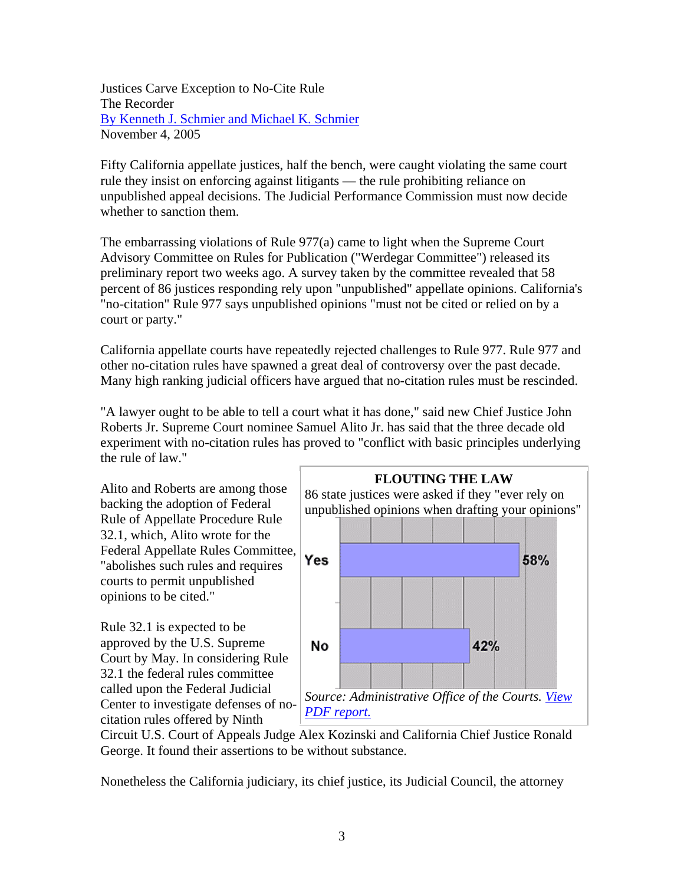Justices Carve Exception to No-Cite Rule The Recorder By Kenneth J. Schmier and Michael K. Schmier November 4, 2005

Fifty California appellate justices, half the bench, were caught violating the same court rule they insist on enforcing against litigants — the rule prohibiting reliance on unpublished appeal decisions. The Judicial Performance Commission must now decide whether to sanction them.

The embarrassing violations of Rule 977(a) came to light when the Supreme Court Advisory Committee on Rules for Publication ("Werdegar Committee") released its preliminary report two weeks ago. A survey taken by the committee revealed that 58 percent of 86 justices responding rely upon "unpublished" appellate opinions. California's "no-citation" Rule 977 says unpublished opinions "must not be cited or relied on by a court or party."

California appellate courts have repeatedly rejected challenges to Rule 977. Rule 977 and other no-citation rules have spawned a great deal of controversy over the past decade. Many high ranking judicial officers have argued that no-citation rules must be rescinded.

"A lawyer ought to be able to tell a court what it has done," said new Chief Justice John Roberts Jr. Supreme Court nominee Samuel Alito Jr. has said that the three decade old experiment with no-citation rules has proved to "conflict with basic principles underlying the rule of law."

Alito and Roberts are among those backing the adoption of Federal Rule of Appellate Procedure Rule 32.1, which, Alito wrote for the Federal Appellate Rules Committee, "abolishes such rules and requires courts to permit unpublished opinions to be cited."

Rule 32.1 is expected to be approved by the U.S. Supreme Court by May. In considering Rule 32.1 the federal rules committee called upon the Federal Judicial Center to investigate defenses of nocitation rules offered by Ninth



Circuit U.S. Court of Appeals Judge Alex Kozinski and California Chief Justice Ronald George. It found their assertions to be without substance.

Nonetheless the California judiciary, its chief justice, its Judicial Council, the attorney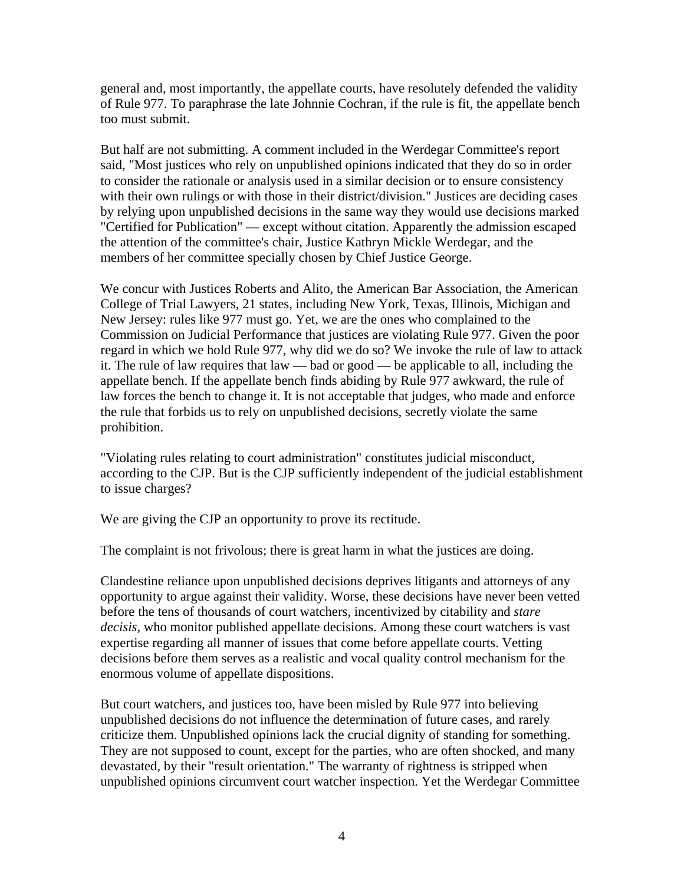general and, most importantly, the appellate courts, have resolutely defended the validity of Rule 977. To paraphrase the late Johnnie Cochran, if the rule is fit, the appellate bench too must submit.

But half are not submitting. A comment included in the Werdegar Committee's report said, "Most justices who rely on unpublished opinions indicated that they do so in order to consider the rationale or analysis used in a similar decision or to ensure consistency with their own rulings or with those in their district/division." Justices are deciding cases by relying upon unpublished decisions in the same way they would use decisions marked "Certified for Publication" — except without citation. Apparently the admission escaped the attention of the committee's chair, Justice Kathryn Mickle Werdegar, and the members of her committee specially chosen by Chief Justice George.

We concur with Justices Roberts and Alito, the American Bar Association, the American College of Trial Lawyers, 21 states, including New York, Texas, Illinois, Michigan and New Jersey: rules like 977 must go. Yet, we are the ones who complained to the Commission on Judicial Performance that justices are violating Rule 977. Given the poor regard in which we hold Rule 977, why did we do so? We invoke the rule of law to attack it. The rule of law requires that law — bad or good — be applicable to all, including the appellate bench. If the appellate bench finds abiding by Rule 977 awkward, the rule of law forces the bench to change it. It is not acceptable that judges, who made and enforce the rule that forbids us to rely on unpublished decisions, secretly violate the same prohibition.

"Violating rules relating to court administration" constitutes judicial misconduct, according to the CJP. But is the CJP sufficiently independent of the judicial establishment to issue charges?

We are giving the CJP an opportunity to prove its rectitude.

The complaint is not frivolous; there is great harm in what the justices are doing.

Clandestine reliance upon unpublished decisions deprives litigants and attorneys of any opportunity to argue against their validity. Worse, these decisions have never been vetted before the tens of thousands of court watchers, incentivized by citability and *stare decisis*, who monitor published appellate decisions. Among these court watchers is vast expertise regarding all manner of issues that come before appellate courts. Vetting decisions before them serves as a realistic and vocal quality control mechanism for the enormous volume of appellate dispositions.

But court watchers, and justices too, have been misled by Rule 977 into believing unpublished decisions do not influence the determination of future cases, and rarely criticize them. Unpublished opinions lack the crucial dignity of standing for something. They are not supposed to count, except for the parties, who are often shocked, and many devastated, by their "result orientation." The warranty of rightness is stripped when unpublished opinions circumvent court watcher inspection. Yet the Werdegar Committee